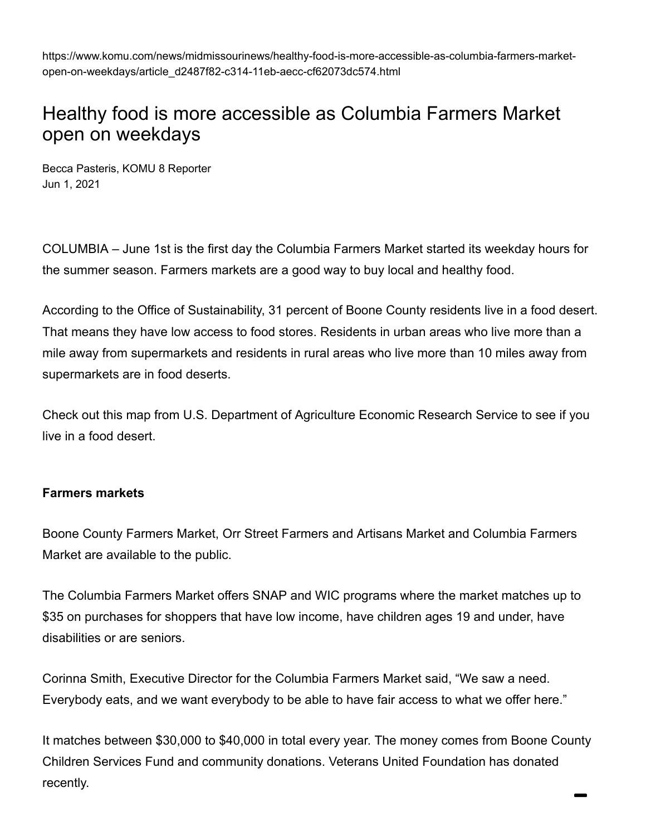https://www.komu.com/news/midmissourinews/healthy-food-is-more-accessible-as-columbia-farmers-marketopen-on-weekdays/article\_d2487f82-c314-11eb-aecc-cf62073dc574.html

# Healthy food is more accessible as Columbia Farmers Market open on weekdays

[Becca Pasteris, KOMU 8 Reporter](https://www.komu.com/users/profile/beccapasteris) Jun 1, 2021

COLUMBIA – June 1st is the first day the Columbia Farmers Market started its weekday hours for the summer season. Farmers markets are a good way to buy local and healthy food.

According to the Office of Sustainability, 31 percent of Boone County residents live in a food desert. That means they have low access to food stores. Residents in urban areas who live more than a mile away from supermarkets and residents in rural areas who live more than 10 miles away from supermarkets are in food deserts.

Check out [this map from U.S. Department of Agriculture Economic Research Service](https://www.ers.usda.gov/data-products/food-access-research-atlas/go-to-the-atlas/) to see if you live in a food desert.

### **Farmers markets**

Boone County Farmers Market, Orr Street Farmers and Artisans Market and Columbia Farmers Market are available to the public.

The Columbia Farmers Market offers SNAP and WIC programs where the market matches up to \$35 on purchases for shoppers that have low income, have children ages 19 and under, have disabilities or are seniors.

Corinna Smith, Executive Director for the Columbia Farmers Market said, "We saw a need. Everybody eats, and we want everybody to be able to have fair access to what we offer here."

It matches between \$30,000 to \$40,000 in total every year. The money comes from Boone County Children Services Fund and community donations. Veterans United Foundation has donated recently.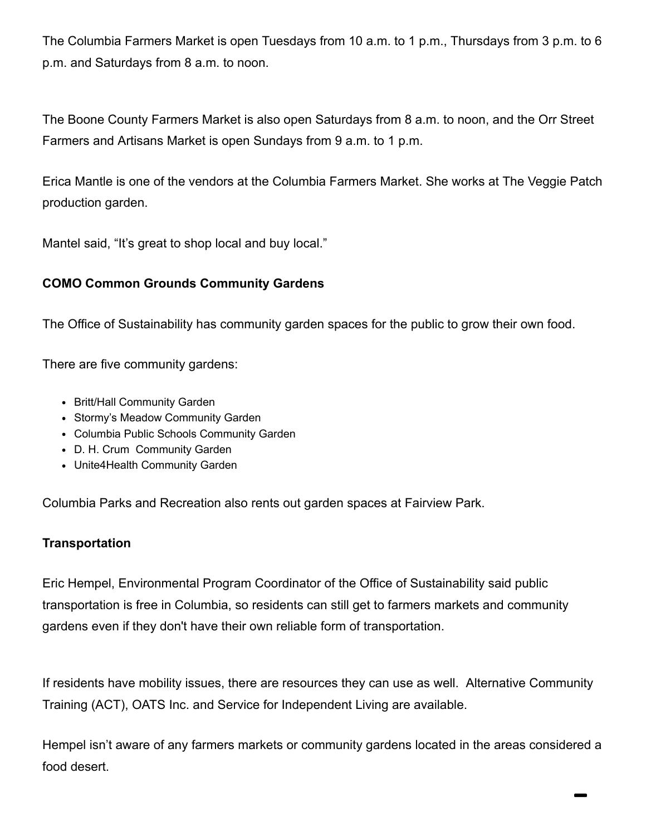The Columbia Farmers Market is open Tuesdays from 10 a.m. to 1 p.m., Thursdays from 3 p.m. to 6 p.m. and Saturdays from 8 a.m. to noon.

The Boone County Farmers Market is also open Saturdays from 8 a.m. to noon, and the Orr Street Farmers and Artisans Market is open Sundays from 9 a.m. to 1 p.m.

Erica Mantle is one of the vendors at the Columbia Farmers Market. She works at The Veggie Patch production garden.

Mantel said, "It's great to shop local and buy local."

### **COMO Common Grounds Community Gardens**

The Office of Sustainability has community garden spaces for the public to grow their own food.

There are five community gardens:

- Britt/Hall Community Garden
- Stormy's Meadow Community Garden
- Columbia Public Schools Community Garden
- D. H. Crum Community Garden
- Unite4Health Community Garden

Columbia Parks and Recreation also rents out garden spaces at Fairview Park.

### **Transportation**

Eric Hempel, Environmental Program Coordinator of the Office of Sustainability said public transportation is free in Columbia, so residents can still get to farmers markets and community gardens even if they don't have their own reliable form of transportation.

If residents have mobility issues, there are resources they can use as well. Alternative Community Training (ACT), OATS Inc. and Service for Independent Living are available.

Hempel isn't aware of any farmers markets or community gardens located in the areas considered a food desert.